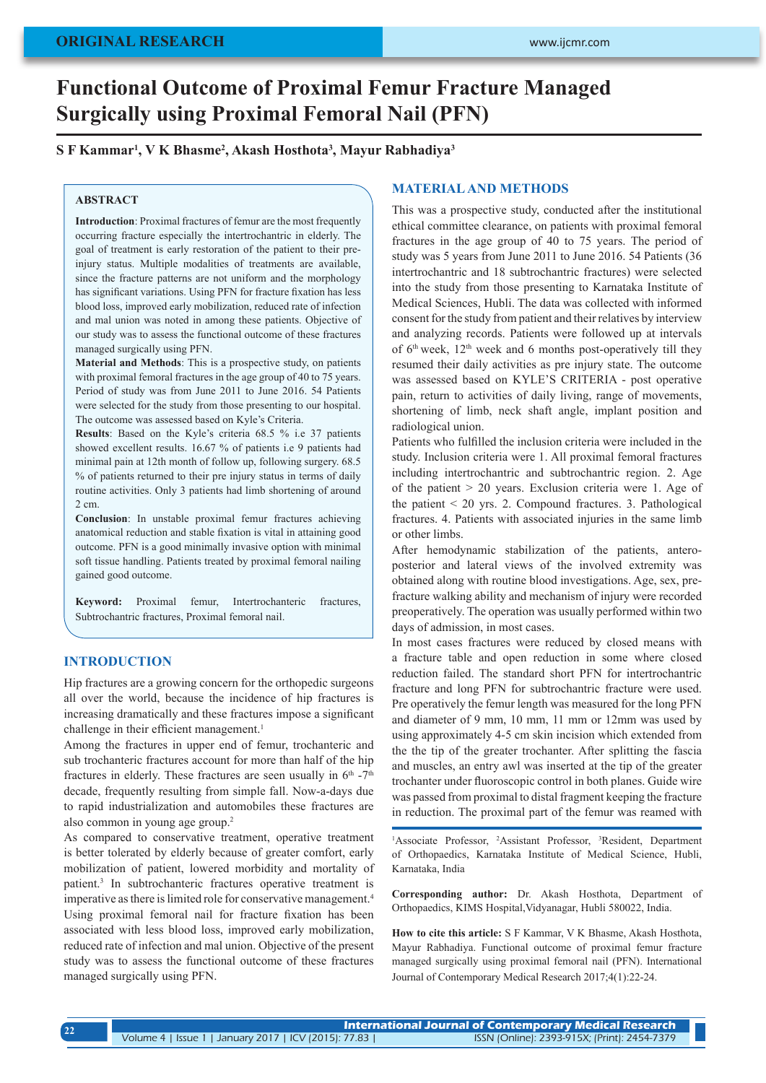# **Functional Outcome of Proximal Femur Fracture Managed Surgically using Proximal Femoral Nail (PFN)**

# **S F Kammar1 , V K Bhasme2 , Akash Hosthota3 , Mayur Rabhadiya3**

## **ABSTRACT**

**Introduction**: Proximal fractures of femur are the most frequently occurring fracture especially the intertrochantric in elderly. The goal of treatment is early restoration of the patient to their preinjury status. Multiple modalities of treatments are available. since the fracture patterns are not uniform and the morphology has significant variations. Using PFN for fracture fixation has less blood loss, improved early mobilization, reduced rate of infection and mal union was noted in among these patients. Objective of our study was to assess the functional outcome of these fractures managed surgically using PFN.

**Material and Methods**: This is a prospective study, on patients with proximal femoral fractures in the age group of 40 to 75 years. Period of study was from June 2011 to June 2016. 54 Patients were selected for the study from those presenting to our hospital. The outcome was assessed based on Kyle's Criteria.

**Results**: Based on the Kyle's criteria 68.5 % i.e 37 patients showed excellent results. 16.67 % of patients i.e 9 patients had minimal pain at 12th month of follow up, following surgery. 68.5 % of patients returned to their pre injury status in terms of daily routine activities. Only 3 patients had limb shortening of around 2 cm.

**Conclusion**: In unstable proximal femur fractures achieving anatomical reduction and stable fixation is vital in attaining good outcome. PFN is a good minimally invasive option with minimal soft tissue handling. Patients treated by proximal femoral nailing gained good outcome.

**Keyword:** Proximal femur, Intertrochanteric fractures, Subtrochantric fractures, Proximal femoral nail.

# **INTRODUCTION**

**22**

Hip fractures are a growing concern for the orthopedic surgeons all over the world, because the incidence of hip fractures is increasing dramatically and these fractures impose a significant challenge in their efficient management.<sup>1</sup>

Among the fractures in upper end of femur, trochanteric and sub trochanteric fractures account for more than half of the hip fractures in elderly. These fractures are seen usually in  $6<sup>th</sup> - 7<sup>th</sup>$ decade, frequently resulting from simple fall. Now-a-days due to rapid industrialization and automobiles these fractures are also common in young age group.2

As compared to conservative treatment, operative treatment is better tolerated by elderly because of greater comfort, early mobilization of patient, lowered morbidity and mortality of patient.3 In subtrochanteric fractures operative treatment is imperative as there is limited role for conservative management.4 Using proximal femoral nail for fracture fixation has been associated with less blood loss, improved early mobilization, reduced rate of infection and mal union. Objective of the present study was to assess the functional outcome of these fractures managed surgically using PFN.

# **MATERIAL AND METHODS**

This was a prospective study, conducted after the institutional ethical committee clearance, on patients with proximal femoral fractures in the age group of 40 to 75 years. The period of study was 5 years from June 2011 to June 2016. 54 Patients (36 intertrochantric and 18 subtrochantric fractures) were selected into the study from those presenting to Karnataka Institute of Medical Sciences, Hubli. The data was collected with informed consent for the study from patient and their relatives by interview and analyzing records. Patients were followed up at intervals of  $6<sup>th</sup>$  week,  $12<sup>th</sup>$  week and 6 months post-operatively till they resumed their daily activities as pre injury state. The outcome was assessed based on KYLE'S CRITERIA - post operative pain, return to activities of daily living, range of movements, shortening of limb, neck shaft angle, implant position and radiological union.

Patients who fulfilled the inclusion criteria were included in the study. Inclusion criteria were 1. All proximal femoral fractures including intertrochantric and subtrochantric region. 2. Age of the patient > 20 years. Exclusion criteria were 1. Age of the patient < 20 yrs. 2. Compound fractures. 3. Pathological fractures. 4. Patients with associated injuries in the same limb or other limbs.

After hemodynamic stabilization of the patients, anteroposterior and lateral views of the involved extremity was obtained along with routine blood investigations. Age, sex, prefracture walking ability and mechanism of injury were recorded preoperatively. The operation was usually performed within two days of admission, in most cases.

In most cases fractures were reduced by closed means with a fracture table and open reduction in some where closed reduction failed. The standard short PFN for intertrochantric fracture and long PFN for subtrochantric fracture were used. Pre operatively the femur length was measured for the long PFN and diameter of 9 mm, 10 mm, 11 mm or 12mm was used by using approximately 4-5 cm skin incision which extended from the the tip of the greater trochanter. After splitting the fascia and muscles, an entry awl was inserted at the tip of the greater trochanter under fluoroscopic control in both planes. Guide wire was passed from proximal to distal fragment keeping the fracture in reduction. The proximal part of the femur was reamed with

<sup>1</sup>Associate Professor, <sup>2</sup>Assistant Professor, <sup>3</sup>Resident, Department of Orthopaedics, Karnataka Institute of Medical Science, Hubli, Karnataka, India

**Corresponding author:** Dr. Akash Hosthota, Department of Orthopaedics, KIMS Hospital,Vidyanagar, Hubli 580022, India.

**How to cite this article:** S F Kammar, V K Bhasme, Akash Hosthota, Mayur Rabhadiya. Functional outcome of proximal femur fracture managed surgically using proximal femoral nail (PFN). International Journal of Contemporary Medical Research 2017;4(1):22-24.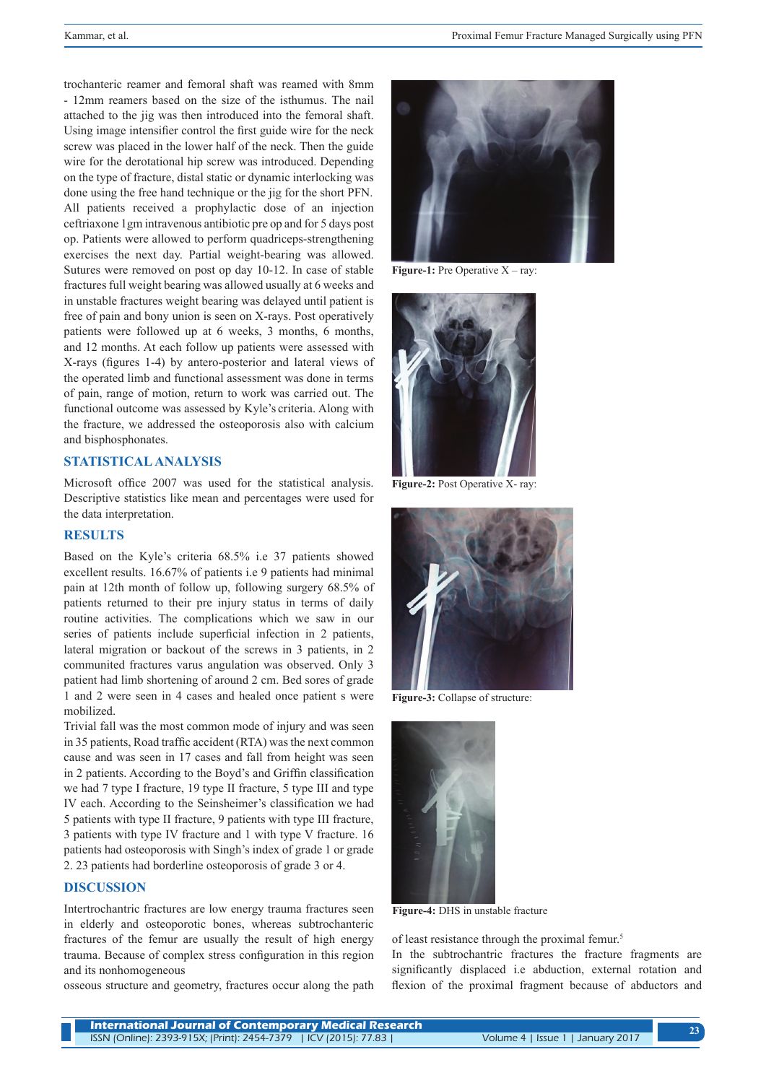trochanteric reamer and femoral shaft was reamed with 8mm - 12mm reamers based on the size of the isthumus. The nail attached to the jig was then introduced into the femoral shaft. Using image intensifier control the first guide wire for the neck screw was placed in the lower half of the neck. Then the guide wire for the derotational hip screw was introduced. Depending on the type of fracture, distal static or dynamic interlocking was done using the free hand technique or the jig for the short PFN. All patients received a prophylactic dose of an injection ceftriaxone 1gm intravenous antibiotic pre op and for 5 days post op. Patients were allowed to perform quadriceps-strengthening exercises the next day. Partial weight-bearing was allowed. Sutures were removed on post op day 10-12. In case of stable fractures full weight bearing was allowed usually at 6 weeks and in unstable fractures weight bearing was delayed until patient is free of pain and bony union is seen on X-rays. Post operatively patients were followed up at 6 weeks, 3 months, 6 months, and 12 months. At each follow up patients were assessed with X-rays (figures 1-4) by antero-posterior and lateral views of the operated limb and functional assessment was done in terms of pain, range of motion, return to work was carried out. The functional outcome was assessed by Kyle's criteria. Along with the fracture, we addressed the osteoporosis also with calcium and bisphosphonates.

## **STATISTICAL ANALYSIS**

Microsoft office 2007 was used for the statistical analysis. Descriptive statistics like mean and percentages were used for the data interpretation.

## **RESULTS**

Based on the Kyle's criteria 68.5% i.e 37 patients showed excellent results. 16.67% of patients i.e 9 patients had minimal pain at 12th month of follow up, following surgery 68.5% of patients returned to their pre injury status in terms of daily routine activities. The complications which we saw in our series of patients include superficial infection in 2 patients, lateral migration or backout of the screws in 3 patients, in 2 communited fractures varus angulation was observed. Only 3 patient had limb shortening of around 2 cm. Bed sores of grade 1 and 2 were seen in 4 cases and healed once patient s were mobilized.

Trivial fall was the most common mode of injury and was seen in 35 patients, Road traffic accident (RTA) was the next common cause and was seen in 17 cases and fall from height was seen in 2 patients. According to the Boyd's and Griffin classification we had 7 type I fracture, 19 type II fracture, 5 type III and type IV each. According to the Seinsheimer's classification we had 5 patients with type II fracture, 9 patients with type III fracture, 3 patients with type IV fracture and 1 with type V fracture. 16 patients had osteoporosis with Singh's index of grade 1 or grade 2. 23 patients had borderline osteoporosis of grade 3 or 4.

## **DISCUSSION**

Intertrochantric fractures are low energy trauma fractures seen in elderly and osteoporotic bones, whereas subtrochanteric fractures of the femur are usually the result of high energy trauma. Because of complex stress configuration in this region and its nonhomogeneous

osseous structure and geometry, fractures occur along the path



**Figure-1:** Pre Operative X – ray:



**Figure-2:** Post Operative X- ray:



**Figure-3:** Collapse of structure:



**Figure-4:** DHS in unstable fracture

of least resistance through the proximal femur.5 In the subtrochantric fractures the fracture fragments are significantly displaced i.e abduction, external rotation and flexion of the proximal fragment because of abductors and